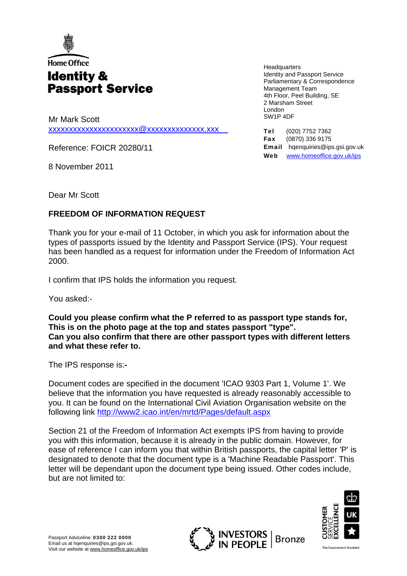

## Home Office **Identity & Passport Service**

Mr Mark Scott [xxxxxxxxxxxxxxxxxxxxxx@xxxxxxxxxxxxxx.xxx](mailto:xxxxxxxxxxxxxxxxxxxxxx@xxxxxxxxxxxxxx.xxx)

Reference: FOICR 20280/11

8 November 2011

**Headquarters** Identity and Passport Service Parliamentary & Correspondence Management Team 4th Floor, Peel Building, SE 2 Marsham Street London SW1P 4DF

Tel (020) 7752 7362 Fax (0870) 336 9175 Email hqenquiries@ips.gsi.gov.uk Web www.homeoffice.gov.uk/ips

Dear Mr Scott

## **FREEDOM OF INFORMATION REQUEST**

Thank you for your e-mail of 11 October, in which you ask for information about the types of passports issued by the Identity and Passport Service (IPS). Your request has been handled as a request for information under the Freedom of Information Act 2000.

I confirm that IPS holds the information you request.

You asked:-

**Could you please confirm what the P referred to as passport type stands for, This is on the photo page at the top and states passport "type". Can you also confirm that there are other passport types with different letters and what these refer to.** 

The IPS response is:**-** 

Document codes are specified in the document 'ICAO 9303 Part 1, Volume 1'. We believe that the information you have requested is already reasonably accessible to you. It can be found on the International Civil Aviation Organisation website on the following link<http://www2.icao.int/en/mrtd/Pages/default.aspx>

Section 21 of the Freedom of Information Act exempts IPS from having to provide you with this information, because it is already in the public domain. However, for ease of reference I can inform you that within British passports, the capital letter 'P' is designated to denote that the document type is a 'Machine Readable Passport'. This letter will be dependant upon the document type being issued. Other codes include, but are not limited to: